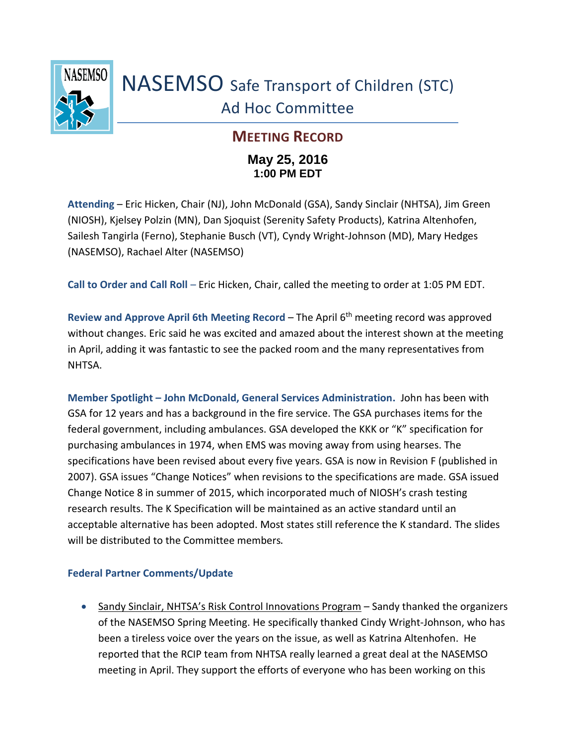

## NASEMSO Safe Transport of Children (STC) Ad Hoc Committee

## **MEETING RECORD**

## **May 25, 2016 1:00 PM EDT**

**Attending** – Eric Hicken, Chair (NJ), John McDonald (GSA), Sandy Sinclair (NHTSA), Jim Green (NIOSH), Kjelsey Polzin (MN), Dan Sjoquist (Serenity Safety Products), Katrina Altenhofen, Sailesh Tangirla (Ferno), Stephanie Busch (VT), Cyndy Wright-Johnson (MD), Mary Hedges (NASEMSO), Rachael Alter (NASEMSO)

**Call to Order and Call Roll** – Eric Hicken, Chair, called the meeting to order at 1:05 PM EDT.

**Review and Approve April 6th Meeting Record** – The April 6th meeting record was approved without changes. Eric said he was excited and amazed about the interest shown at the meeting in April, adding it was fantastic to see the packed room and the many representatives from NHTSA.

**Member Spotlight – John McDonald, General Services Administration.** John has been with GSA for 12 years and has a background in the fire service. The GSA purchases items for the federal government, including ambulances. GSA developed the KKK or "K" specification for purchasing ambulances in 1974, when EMS was moving away from using hearses. The specifications have been revised about every five years. GSA is now in Revision F (published in 2007). GSA issues "Change Notices" when revisions to the specifications are made. GSA issued Change Notice 8 in summer of 2015, which incorporated much of NIOSH's crash testing research results. The K Specification will be maintained as an active standard until an acceptable alternative has been adopted. Most states still reference the K standard. The slides will be distributed to the Committee members.

## **Federal Partner Comments/Update**

• Sandy Sinclair, NHTSA's Risk Control Innovations Program – Sandy thanked the organizers of the NASEMSO Spring Meeting. He specifically thanked Cindy Wright-Johnson, who has been a tireless voice over the years on the issue, as well as Katrina Altenhofen. He reported that the RCIP team from NHTSA really learned a great deal at the NASEMSO meeting in April. They support the efforts of everyone who has been working on this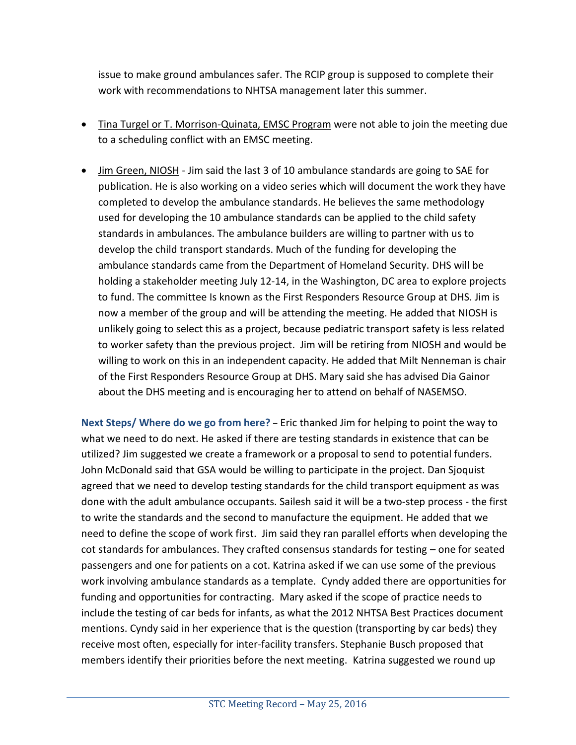issue to make ground ambulances safer. The RCIP group is supposed to complete their work with recommendations to NHTSA management later this summer.

- Tina Turgel or T. Morrison-Quinata, EMSC Program were not able to join the meeting due to a scheduling conflict with an EMSC meeting.
- Jim Green, NIOSH Jim said the last 3 of 10 ambulance standards are going to SAE for publication. He is also working on a video series which will document the work they have completed to develop the ambulance standards. He believes the same methodology used for developing the 10 ambulance standards can be applied to the child safety standards in ambulances. The ambulance builders are willing to partner with us to develop the child transport standards. Much of the funding for developing the ambulance standards came from the Department of Homeland Security. DHS will be holding a stakeholder meeting July 12-14, in the Washington, DC area to explore projects to fund. The committee Is known as the First Responders Resource Group at DHS. Jim is now a member of the group and will be attending the meeting. He added that NIOSH is unlikely going to select this as a project, because pediatric transport safety is less related to worker safety than the previous project. Jim will be retiring from NIOSH and would be willing to work on this in an independent capacity. He added that Milt Nenneman is chair of the First Responders Resource Group at DHS. Mary said she has advised Dia Gainor about the DHS meeting and is encouraging her to attend on behalf of NASEMSO.

**Next Steps/ Where do we go from here?** – Eric thanked Jim for helping to point the way to what we need to do next. He asked if there are testing standards in existence that can be utilized? Jim suggested we create a framework or a proposal to send to potential funders. John McDonald said that GSA would be willing to participate in the project. Dan Sjoquist agreed that we need to develop testing standards for the child transport equipment as was done with the adult ambulance occupants. Sailesh said it will be a two-step process - the first to write the standards and the second to manufacture the equipment. He added that we need to define the scope of work first. Jim said they ran parallel efforts when developing the cot standards for ambulances. They crafted consensus standards for testing – one for seated passengers and one for patients on a cot. Katrina asked if we can use some of the previous work involving ambulance standards as a template. Cyndy added there are opportunities for funding and opportunities for contracting. Mary asked if the scope of practice needs to include the testing of car beds for infants, as what the 2012 NHTSA Best Practices document mentions. Cyndy said in her experience that is the question (transporting by car beds) they receive most often, especially for inter-facility transfers. Stephanie Busch proposed that members identify their priorities before the next meeting. Katrina suggested we round up